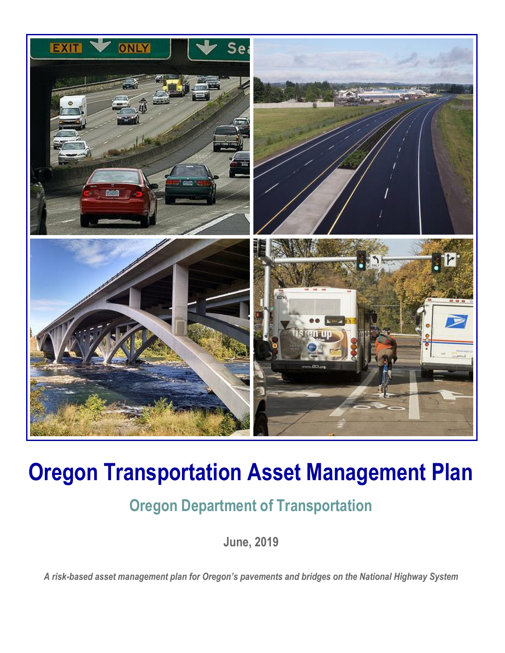

## **Oregon Transportation Asset Management Plan**

## **Oregon Department of Transportation**

**June, 2019**

*A risk-based asset management plan for Oregon's pavements and bridges on the National Highway System*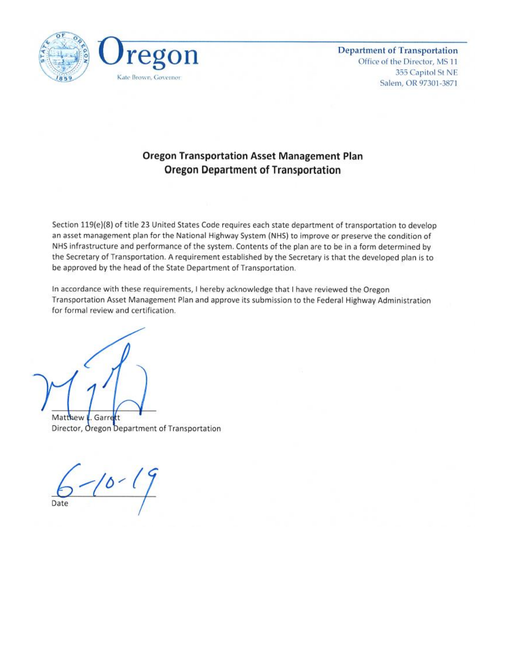

**Department of Transportation** Office of the Director, MS 11 355 Capitol St NE Salem, OR 97301-3871

#### **Oregon Transportation Asset Management Plan Oregon Department of Transportation**

Section 119(e)(8) of title 23 United States Code requires each state department of transportation to develop an asset management plan for the National Highway System (NHS) to improve or preserve the condition of NHS infrastructure and performance of the system. Contents of the plan are to be in a form determined by the Secretary of Transportation. A requirement established by the Secretary is that the developed plan is to be approved by the head of the State Department of Transportation.

In accordance with these requirements, I hereby acknowledge that I have reviewed the Oregon Transportation Asset Management Plan and approve its submission to the Federal Highway Administration for formal review and certification.

Matthew L. Garrett

Director, Oregon Department of Transportation

 $10 - 19$ Date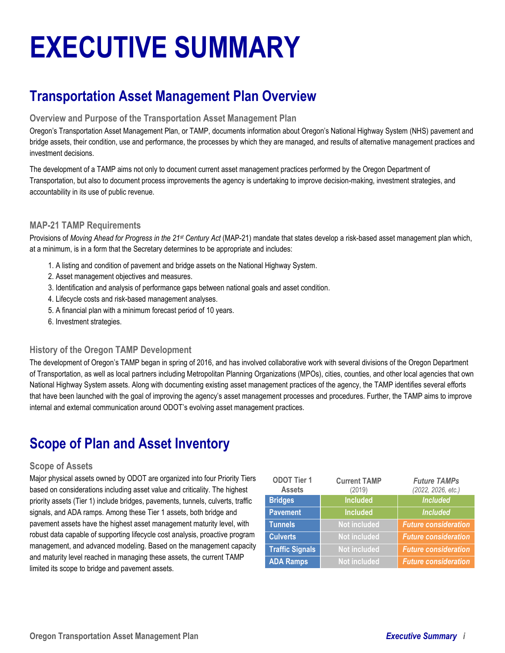# **EXECUTIVE SUMMARY**

## **Transportation Asset Management Plan Overview**

#### **Overview and Purpose of the Transportation Asset Management Plan**

Oregon's Transportation Asset Management Plan, or TAMP, documents information about Oregon's National Highway System (NHS) pavement and bridge assets, their condition, use and performance, the processes by which they are managed, and results of alternative management practices and investment decisions.

The development of a TAMP aims not only to document current asset management practices performed by the Oregon Department of Transportation, but also to document process improvements the agency is undertaking to improve decision-making, investment strategies, and accountability in its use of public revenue.

#### **MAP-21 TAMP Requirements**

Provisions of *Moving Ahead for Progress in the 21st Century Act* (MAP-21) mandate that states develop a risk-based asset management plan which, at a minimum, is in a form that the Secretary determines to be appropriate and includes:

- 1. A listing and condition of pavement and bridge assets on the National Highway System.
- 2. Asset management objectives and measures.
- 3. Identification and analysis of performance gaps between national goals and asset condition.
- 4. Lifecycle costs and risk-based management analyses.
- 5. A financial plan with a minimum forecast period of 10 years.
- 6. Investment strategies.

#### **History of the Oregon TAMP Development**

The development of Oregon's TAMP began in spring of 2016, and has involved collaborative work with several divisions of the Oregon Department of Transportation, as well as local partners including Metropolitan Planning Organizations (MPOs), cities, counties, and other local agencies that own National Highway System assets. Along with documenting existing asset management practices of the agency, the TAMP identifies several efforts that have been launched with the goal of improving the agency's asset management processes and procedures. Further, the TAMP aims to improve internal and external communication around ODOT's evolving asset management practices.

## **Scope of Plan and Asset Inventory**

#### **Scope of Assets**

Major physical assets owned by ODOT are organized into four Priority Tiers based on considerations including asset value and criticality. The highest priority assets (Tier 1) include bridges, pavements, tunnels, culverts, traffic signals, and ADA ramps. Among these Tier 1 assets, both bridge and pavement assets have the highest asset management maturity level, with robust data capable of supporting lifecycle cost analysis, proactive program management, and advanced modeling. Based on the management capacity and maturity level reached in managing these assets, the current TAMP limited its scope to bridge and pavement assets.

| <b>ODOT Tier 1</b><br><b>Assets</b> | <b>Current TAMP</b><br>(2019) | <b>Future TAMPs</b><br>(2022, 2026, etc.) |  |
|-------------------------------------|-------------------------------|-------------------------------------------|--|
| <b>Bridges</b>                      | <b>Included</b>               | <b>Included</b>                           |  |
| <b>Pavement</b>                     | <b>Included</b>               | <b>Included</b>                           |  |
| <b>Tunnels</b>                      | <b>Not included</b>           | <b>Future consideration</b>               |  |
| <b>Culverts</b>                     | <b>Not included</b>           | <b>Future consideration</b>               |  |
| <b>Traffic Signals</b>              | <b>Not included</b>           | <b>Future consideration</b>               |  |
| <b>ADA Ramps</b>                    | <b>Not included</b>           | <b>Future consideration</b>               |  |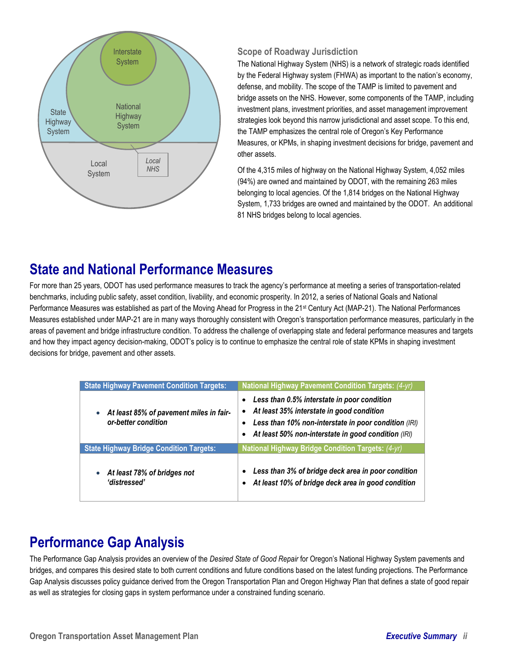

#### **Scope of Roadway Jurisdiction**

The National Highway System (NHS) is a network of strategic roads identified by the Federal Highway system (FHWA) as important to the nation's economy, defense, and mobility. The scope of the TAMP is limited to pavement and bridge assets on the NHS. However, some components of the TAMP, including investment plans, investment priorities, and asset management improvement strategies look beyond this narrow jurisdictional and asset scope. To this end, the TAMP emphasizes the central role of Oregon's Key Performance Measures, or KPMs, in shaping investment decisions for bridge, pavement and other assets.

Of the 4,315 miles of highway on the National Highway System, 4,052 miles (94%) are owned and maintained by ODOT, with the remaining 263 miles belonging to local agencies. Of the 1,814 bridges on the National Highway System, 1,733 bridges are owned and maintained by the ODOT. An additional 81 NHS bridges belong to local agencies.

## **State and National Performance Measures**

For more than 25 years, ODOT has used performance measures to track the agency's performance at meeting a series of transportation-related benchmarks, including public safety, asset condition, livability, and economic prosperity. In 2012, a series of National Goals and National Performance Measures was established as part of the Moving Ahead for Progress in the 21<sup>st</sup> Century Act (MAP-21). The National Performances Measures established under MAP-21 are in many ways thoroughly consistent with Oregon's transportation performance measures, particularly in the areas of pavement and bridge infrastructure condition. To address the challenge of overlapping state and federal performance measures and targets and how they impact agency decision-making, ODOT's policy is to continue to emphasize the central role of state KPMs in shaping investment decisions for bridge, pavement and other assets.

| <b>State Highway Pavement Condition Targets:</b>               | <b>National Highway Pavement Condition Targets: (4-yr)</b>                                                                                                                                                                                                  |  |  |  |
|----------------------------------------------------------------|-------------------------------------------------------------------------------------------------------------------------------------------------------------------------------------------------------------------------------------------------------------|--|--|--|
| At least 85% of pavement miles in fair-<br>or-better condition | Less than 0.5% interstate in poor condition<br>$\bullet$<br>At least 35% interstate in good condition<br>$\bullet$<br>Less than 10% non-interstate in poor condition (IRI)<br>$\bullet$<br>At least 50% non-interstate in good condition (IRI)<br>$\bullet$ |  |  |  |
| <b>State Highway Bridge Condition Targets:</b>                 | National Highway Bridge Condition Targets: (4-yr)                                                                                                                                                                                                           |  |  |  |
| At least 78% of bridges not<br>'distressed'                    | Less than 3% of bridge deck area in poor condition<br>At least 10% of bridge deck area in good condition                                                                                                                                                    |  |  |  |

## **Performance Gap Analysis**

The Performance Gap Analysis provides an overview of the *Desired State of Good Repair* for Oregon's National Highway System pavements and bridges, and compares this desired state to both current conditions and future conditions based on the latest funding projections. The Performance Gap Analysis discusses policy guidance derived from the Oregon Transportation Plan and Oregon Highway Plan that defines a state of good repair as well as strategies for closing gaps in system performance under a constrained funding scenario.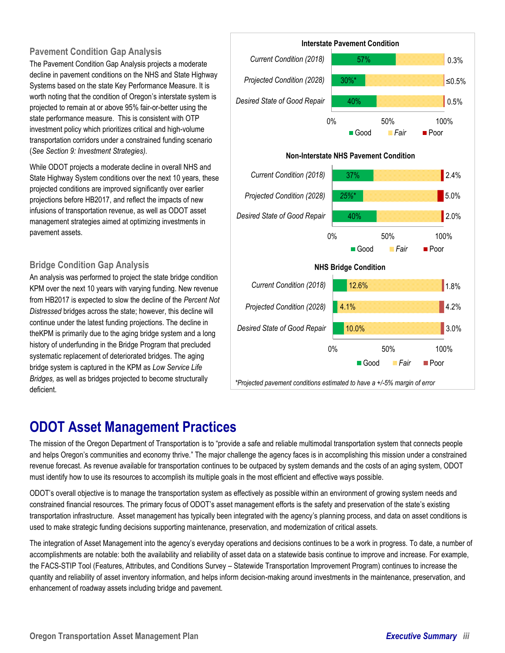#### **Pavement Condition Gap Analysis**

The Pavement Condition Gap Analysis projects a moderate decline in pavement conditions on the NHS and State Highway Systems based on the state Key Performance Measure. It is worth noting that the condition of Oregon's interstate system is projected to remain at or above 95% fair-or-better using the state performance measure. This is consistent with OTP investment policy which prioritizes critical and high-volume transportation corridors under a constrained funding scenario (*See Section 9: Investment Strategies).*

While ODOT projects a moderate decline in overall NHS and State Highway System conditions over the next 10 years, these projected conditions are improved significantly over earlier projections before HB2017, and reflect the impacts of new infusions of transportation revenue, as well as ODOT asset management strategies aimed at optimizing investments in pavement assets.

#### **Bridge Condition Gap Analysis**

An analysis was performed to project the state bridge condition KPM over the next 10 years with varying funding. New revenue from HB2017 is expected to slow the decline of the *Percent Not Distressed* bridges across the state; however, this decline will continue under the latest funding projections. The decline in theKPM is primarily due to the aging bridge system and a long history of underfunding in the Bridge Program that precluded systematic replacement of deteriorated bridges. The aging bridge system is captured in the KPM as *Low Service Life Bridges,* as well as bridges projected to become structurally deficient.



*\*Projected pavement conditions estimated to have a +/-5% margin of error*

### **ODOT Asset Management Practices**

The mission of the Oregon Department of Transportation is to "provide a safe and reliable multimodal transportation system that connects people and helps Oregon's communities and economy thrive." The major challenge the agency faces is in accomplishing this mission under a constrained revenue forecast. As revenue available for transportation continues to be outpaced by system demands and the costs of an aging system, ODOT must identify how to use its resources to accomplish its multiple goals in the most efficient and effective ways possible.

ODOT's overall objective is to manage the transportation system as effectively as possible within an environment of growing system needs and constrained financial resources. The primary focus of ODOT's asset management efforts is the safety and preservation of the state's existing transportation infrastructure. Asset management has typically been integrated with the agency's planning process, and data on asset conditions is used to make strategic funding decisions supporting maintenance, preservation, and modernization of critical assets.

The integration of Asset Management into the agency's everyday operations and decisions continues to be a work in progress. To date, a number of accomplishments are notable: both the availability and reliability of asset data on a statewide basis continue to improve and increase. For example, the FACS-STIP Tool (Features, Attributes, and Conditions Survey – Statewide Transportation Improvement Program) continues to increase the quantity and reliability of asset inventory information, and helps inform decision-making around investments in the maintenance, preservation, and enhancement of roadway assets including bridge and pavement.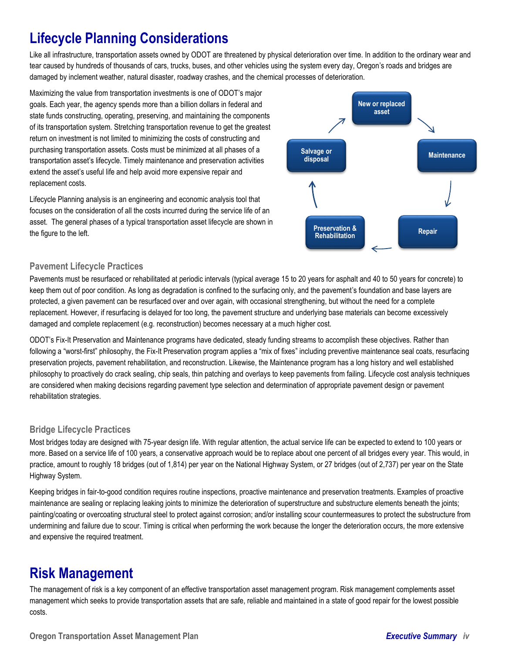## **Lifecycle Planning Considerations**

Like all infrastructure, transportation assets owned by ODOT are threatened by physical deterioration over time. In addition to the ordinary wear and tear caused by hundreds of thousands of cars, trucks, buses, and other vehicles using the system every day, Oregon's roads and bridges are damaged by inclement weather, natural disaster, roadway crashes, and the chemical processes of deterioration.

Maximizing the value from transportation investments is one of ODOT's major goals. Each year, the agency spends more than a billion dollars in federal and state funds constructing, operating, preserving, and maintaining the components of its transportation system. Stretching transportation revenue to get the greatest return on investment is not limited to minimizing the costs of constructing and purchasing transportation assets. Costs must be minimized at all phases of a transportation asset's lifecycle. Timely maintenance and preservation activities extend the asset's useful life and help avoid more expensive repair and replacement costs.

Lifecycle Planning analysis is an engineering and economic analysis tool that focuses on the consideration of all the costs incurred during the service life of an asset. The general phases of a typical transportation asset lifecycle are shown in the figure to the left.



#### **Pavement Lifecycle Practices**

Pavements must be resurfaced or rehabilitated at periodic intervals (typical average 15 to 20 years for asphalt and 40 to 50 years for concrete) to keep them out of poor condition. As long as degradation is confined to the surfacing only, and the pavement's foundation and base layers are protected, a given pavement can be resurfaced over and over again, with occasional strengthening, but without the need for a complete replacement. However, if resurfacing is delayed for too long, the pavement structure and underlying base materials can become excessively damaged and complete replacement (e.g. reconstruction) becomes necessary at a much higher cost.

ODOT's Fix-It Preservation and Maintenance programs have dedicated, steady funding streams to accomplish these objectives. Rather than following a "worst-first" philosophy, the Fix-It Preservation program applies a "mix of fixes" including preventive maintenance seal coats, resurfacing preservation projects, pavement rehabilitation, and reconstruction. Likewise, the Maintenance program has a long history and well established philosophy to proactively do crack sealing, chip seals, thin patching and overlays to keep pavements from failing. Lifecycle cost analysis techniques are considered when making decisions regarding pavement type selection and determination of appropriate pavement design or pavement rehabilitation strategies.

#### **Bridge Lifecycle Practices**

Most bridges today are designed with 75-year design life. With regular attention, the actual service life can be expected to extend to 100 years or more. Based on a service life of 100 years, a conservative approach would be to replace about one percent of all bridges every year. This would, in practice, amount to roughly 18 bridges (out of 1,814) per year on the National Highway System, or 27 bridges (out of 2,737) per year on the State Highway System.

Keeping bridges in fair-to-good condition requires routine inspections, proactive maintenance and preservation treatments. Examples of proactive maintenance are sealing or replacing leaking joints to minimize the deterioration of superstructure and substructure elements beneath the joints; painting/coating or overcoating structural steel to protect against corrosion; and/or installing scour countermeasures to protect the substructure from undermining and failure due to scour. Timing is critical when performing the work because the longer the deterioration occurs, the more extensive and expensive the required treatment.

## **Risk Management**

The management of risk is a key component of an effective transportation asset management program. Risk management complements asset management which seeks to provide transportation assets that are safe, reliable and maintained in a state of good repair for the lowest possible costs.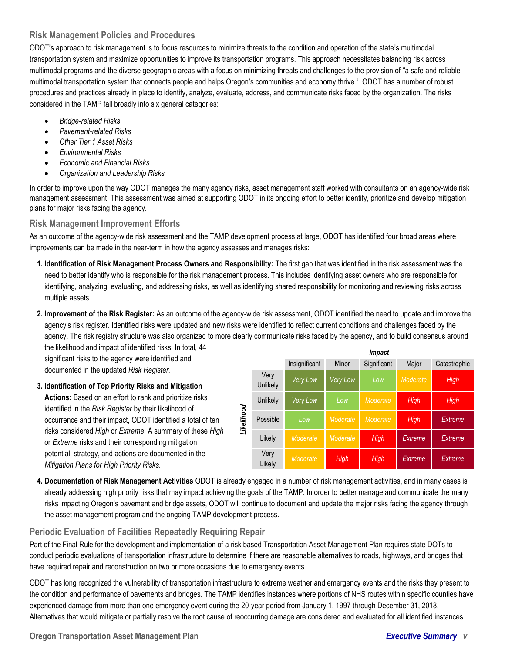#### **Risk Management Policies and Procedures**

ODOT's approach to risk management is to focus resources to minimize threats to the condition and operation of the state's multimodal transportation system and maximize opportunities to improve its transportation programs. This approach necessitates balancing risk across multimodal programs and the diverse geographic areas with a focus on minimizing threats and challenges to the provision of "a safe and reliable multimodal transportation system that connects people and helps Oregon's communities and economy thrive." ODOT has a number of robust procedures and practices already in place to identify, analyze, evaluate, address, and communicate risks faced by the organization. The risks considered in the TAMP fall broadly into six general categories:

- *Bridge-related Risks*
- *Pavement-related Risks*
- *Other Tier 1 Asset Risks*
- *Environmental Risks*
- *Economic and Financial Risks*
- *Organization and Leadership Risks*

In order to improve upon the way ODOT manages the many agency risks, asset management staff worked with consultants on an agency-wide risk management assessment. This assessment was aimed at supporting ODOT in its ongoing effort to better identify, prioritize and develop mitigation plans for major risks facing the agency.

#### **Risk Management Improvement Efforts**

As an outcome of the agency-wide risk assessment and the TAMP development process at large, ODOT has identified four broad areas where improvements can be made in the near-term in how the agency assesses and manages risks:

- **1. Identification of Risk Management Process Owners and Responsibility:** The first gap that was identified in the risk assessment was the need to better identify who is responsible for the risk management process. This includes identifying asset owners who are responsible for identifying, analyzing, evaluating, and addressing risks, as well as identifying shared responsibility for monitoring and reviewing risks across multiple assets.
- **2. Improvement of the Risk Register:** As an outcome of the agency-wide risk assessment, ODOT identified the need to update and improve the agency's risk register. Identified risks were updated and new risks were identified to reflect current conditions and challenges faced by the agency. The risk registry structure was also organized to more clearly communicate risks faced by the agency, and to build consensus around

the likelihood and impact of identified risks. In total, 44 significant risks to the agency were identified and documented in the updated *Risk Register.*

#### **3. Identification of Top Priority Risks and Mitigation Actions:** Based on an effort to rank and prioritize risks identified in the *Risk Register* by their likelihood of occurrence and their impact, ODOT identified a total of ten risks considered *High* or *Extreme*. A summary of these *High* or *Extreme* risks and their corresponding mitigation potential, strategy, and actions are documented in the *Mitigation Plans for High Priority Risks.*

|            |                  | Impact          |          |             |          |              |  |
|------------|------------------|-----------------|----------|-------------|----------|--------------|--|
|            |                  | Insignificant   | Minor    | Significant | Major    | Catastrophic |  |
| Likelihood | Very<br>Unlikely | Very Low        | Very Low | Low         | Moderate | High         |  |
|            | Unlikely         | <b>Very Low</b> | Low      | Moderate    | High     | High         |  |
|            | Possible         | Low             | Moderate | Moderate    | High     | Extreme      |  |
|            | Likely           | Moderate        | Moderate | High        | Extreme  | Extreme      |  |
|            | Very<br>Likely   | Moderate        | High     | High        | Extreme  | Extreme      |  |

**4. Documentation of Risk Management Activities** ODOT is already engaged in a number of risk management activities, and in many cases is already addressing high priority risks that may impact achieving the goals of the TAMP. In order to better manage and communicate the many risks impacting Oregon's pavement and bridge assets, ODOT will continue to document and update the major risks facing the agency through the asset management program and the ongoing TAMP development process.

#### **Periodic Evaluation of Facilities Repeatedly Requiring Repair**

Part of the Final Rule for the development and implementation of a risk based Transportation Asset Management Plan requires state DOTs to conduct periodic evaluations of transportation infrastructure to determine if there are reasonable alternatives to roads, highways, and bridges that have required repair and reconstruction on two or more occasions due to emergency events.

ODOT has long recognized the vulnerability of transportation infrastructure to extreme weather and emergency events and the risks they present to the condition and performance of pavements and bridges. The TAMP identifies instances where portions of NHS routes within specific counties have experienced damage from more than one emergency event during the 20-year period from January 1, 1997 through December 31, 2018. Alternatives that would mitigate or partially resolve the root cause of reoccurring damage are considered and evaluated for all identified instances.

**Oregon Transportation Asset Management Plan** *Executive Summary v*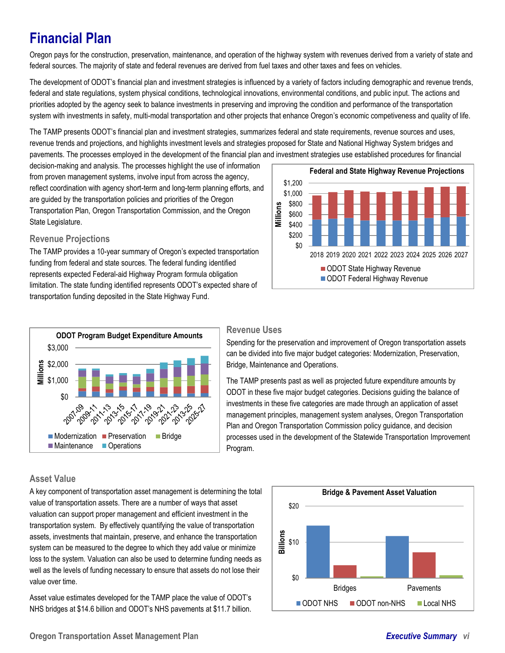## **Financial Plan**

Oregon pays for the construction, preservation, maintenance, and operation of the highway system with revenues derived from a variety of state and federal sources. The majority of state and federal revenues are derived from fuel taxes and other taxes and fees on vehicles.

The development of ODOT's financial plan and investment strategies is influenced by a variety of factors including demographic and revenue trends, federal and state regulations, system physical conditions, technological innovations, environmental conditions, and public input. The actions and priorities adopted by the agency seek to balance investments in preserving and improving the condition and performance of the transportation system with investments in safety, multi-modal transportation and other projects that enhance Oregon's economic competiveness and quality of life.

The TAMP presents ODOT's financial plan and investment strategies, summarizes federal and state requirements, revenue sources and uses, revenue trends and projections, and highlights investment levels and strategies proposed for State and National Highway System bridges and pavements. The processes employed in the development of the financial plan and investment strategies use established procedures for financial

decision-making and analysis. The processes highlight the use of information from proven management systems, involve input from across the agency, reflect coordination with agency short-term and long-term planning efforts, and are guided by the transportation policies and priorities of the Oregon Transportation Plan, Oregon Transportation Commission, and the Oregon State Legislature.

#### **Revenue Projections**

The TAMP provides a 10-year summary of Oregon's expected transportation funding from federal and state sources. The federal funding identified represents expected Federal-aid Highway Program formula obligation limitation. The state funding identified represents ODOT's expected share of transportation funding deposited in the State Highway Fund.





#### **Revenue Uses**

Spending for the preservation and improvement of Oregon transportation assets can be divided into five major budget categories: Modernization, Preservation, Bridge, Maintenance and Operations.

The TAMP presents past as well as projected future expenditure amounts by ODOT in these five major budget categories. Decisions guiding the balance of investments in these five categories are made through an application of asset management principles, management system analyses, Oregon Transportation Plan and Oregon Transportation Commission policy guidance, and decision processes used in the development of the Statewide Transportation Improvement Program.

#### **Asset Value**

A key component of transportation asset management is determining the total value of transportation assets. There are a number of ways that asset valuation can support proper management and efficient investment in the transportation system. By effectively quantifying the value of transportation assets, investments that maintain, preserve, and enhance the transportation system can be measured to the degree to which they add value or minimize loss to the system. Valuation can also be used to determine funding needs as well as the levels of funding necessary to ensure that assets do not lose their value over time.

Asset value estimates developed for the TAMP place the value of ODOT's NHS bridges at \$14.6 billion and ODOT's NHS pavements at \$11.7 billion.